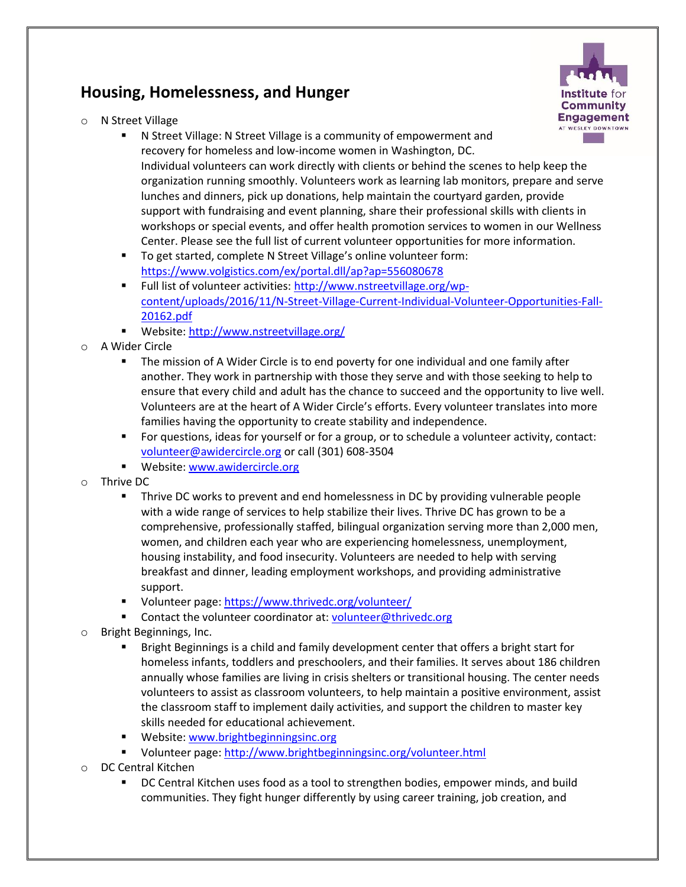## **Housing, Homelessness, and Hunger**



- o N Street Village
	- N Street Village: N Street Village is a community of empowerment and recovery for homeless and low-income women in Washington, DC.

Individual volunteers can work directly with clients or behind the scenes to help keep the organization running smoothly. Volunteers work as learning lab monitors, prepare and serve lunches and dinners, pick up donations, help maintain the courtyard garden, provide support with fundraising and event planning, share their professional skills with clients in workshops or special events, and offer health promotion services to women in our Wellness Center. Please see the full list of current volunteer opportunities for more information.

- To get started, complete N Street Village's online volunteer form: <https://www.volgistics.com/ex/portal.dll/ap?ap=556080678>
- Full list of volunteer activities: [http://www.nstreetvillage.org/wp](http://www.nstreetvillage.org/wp-content/uploads/2016/11/N-Street-Village-Current-Individual-Volunteer-Opportunities-Fall-20162.pdf)[content/uploads/2016/11/N-Street-Village-Current-Individual-Volunteer-Opportunities-Fall-](http://www.nstreetvillage.org/wp-content/uploads/2016/11/N-Street-Village-Current-Individual-Volunteer-Opportunities-Fall-20162.pdf)[20162.pdf](http://www.nstreetvillage.org/wp-content/uploads/2016/11/N-Street-Village-Current-Individual-Volunteer-Opportunities-Fall-20162.pdf)
- Website[: http://www.nstreetvillage.org/](http://www.nstreetvillage.org/)
- o A Wider Circle
	- The mission of A Wider Circle is to end poverty for one individual and one family after another. They work in partnership with those they serve and with those seeking to help to ensure that every child and adult has the chance to succeed and the opportunity to live well. Volunteers are at the heart of A Wider Circle's efforts. Every volunteer translates into more families having the opportunity to create stability and independence.
	- For questions, ideas for yourself or for a group, or to schedule a volunteer activity, contact: [volunteer@awidercircle.org](mailto:volunteer@awidercircle.org) or call (301) 608-3504
	- Website[: www.awidercircle.org](http://www.awidercircle.org/)
- o Thrive DC
	- Thrive DC works to prevent and end homelessness in DC by providing vulnerable people with a wide range of services to help stabilize their lives. Thrive DC has grown to be a comprehensive, professionally staffed, bilingual organization serving more than 2,000 men, women, and children each year who are experiencing homelessness, unemployment, housing instability, and food insecurity. Volunteers are needed to help with serving breakfast and dinner, leading employment workshops, and providing administrative support.
	- Volunteer page:<https://www.thrivedc.org/volunteer/>
	- Contact the volunteer coordinator at: [volunteer@thrivedc.org](mailto:volunteer@thrivedc.org)
- Bright Beginnings, Inc.
	- Bright Beginnings is a child and family development center that offers a bright start for homeless infants, toddlers and preschoolers, and their families. It serves about 186 children annually whose families are living in crisis shelters or transitional housing. The center needs volunteers to assist as classroom volunteers, to help maintain a positive environment, assist the classroom staff to implement daily activities, and support the children to master key skills needed for educational achievement.
	- **Website[: www.brightbeginningsinc.org](http://www.brightbeginningsinc.org/)**
	- Volunteer page:<http://www.brightbeginningsinc.org/volunteer.html>
- DC Central Kitchen
	- DC Central Kitchen uses food as a tool to strengthen bodies, empower minds, and build communities. They fight hunger differently by using career training, job creation, and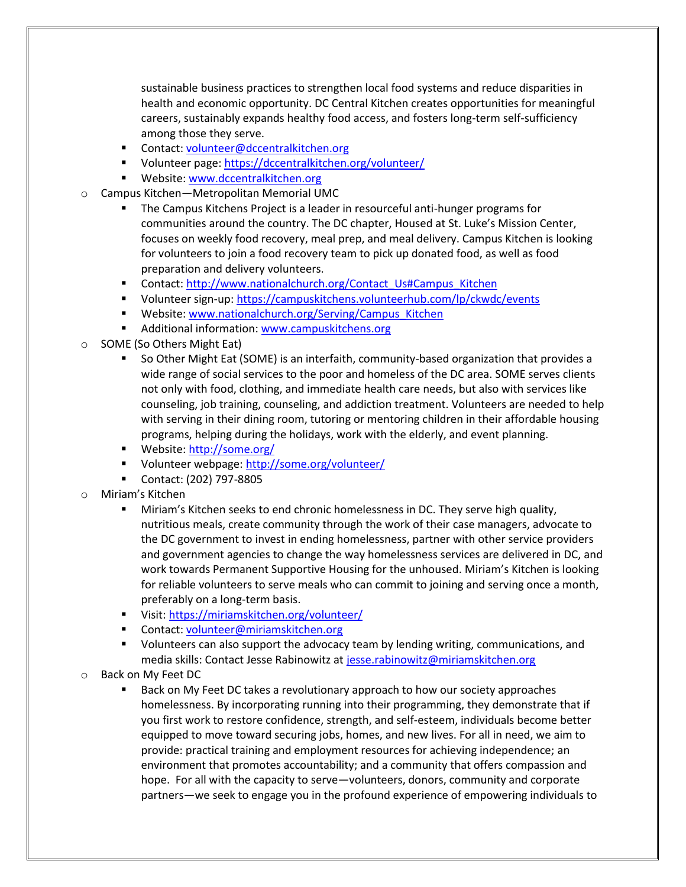sustainable business practices to strengthen local food systems and reduce disparities in health and economic opportunity. DC Central Kitchen creates opportunities for meaningful careers, sustainably expands healthy food access, and fosters long-term self-sufficiency among those they serve.

- Contact: [volunteer@dccentralkitchen.org](mailto:volunteer@dccentralkitchen.org)
- Volunteer page:<https://dccentralkitchen.org/volunteer/>
- **Website:** www.dccentralkitchen.org
- o Campus Kitchen—Metropolitan Memorial UMC
	- The Campus Kitchens Project is a leader in resourceful anti-hunger programs for communities around the country. The DC chapter, Housed at St. Luke's Mission Center, focuses on weekly food recovery, meal prep, and meal delivery. Campus Kitchen is looking for volunteers to join a food recovery team to pick up donated food, as well as food preparation and delivery volunteers.
	- Contact: [http://www.nationalchurch.org/Contact\\_Us#Campus\\_Kitchen](http://www.nationalchurch.org/Contact_Us#Campus_Kitchen)
	- Volunteer sign-up:<https://campuskitchens.volunteerhub.com/lp/ckwdc/events>
	- Website[: www.nationalchurch.org/Serving/Campus\\_Kitchen](http://www.nationalchurch.org/Serving/Campus_Kitchen)
	- Additional information: [www.campuskitchens.org](http://www.campuskitchens.org/)
- o SOME (So Others Might Eat)
	- So Other Might Eat (SOME) is an interfaith, community-based organization that provides a wide range of social services to the poor and homeless of the DC area. SOME serves clients not only with food, clothing, and immediate health care needs, but also with services like counseling, job training, counseling, and addiction treatment. Volunteers are needed to help with serving in their dining room, tutoring or mentoring children in their affordable housing programs, helping during the holidays, work with the elderly, and event planning.
	- Website[: http://some.org/](http://some.org/)
	- Volunteer webpage:<http://some.org/volunteer/>
	- Contact: (202) 797-8805
- o Miriam's Kitchen
	- Miriam's Kitchen seeks to end chronic homelessness in DC. They serve high quality, nutritious meals, create community through the work of their case managers, advocate to the DC government to invest in ending homelessness, partner with other service providers and government agencies to change the way homelessness services are delivered in DC, and work towards Permanent Supportive Housing for the unhoused. Miriam's Kitchen is looking for reliable volunteers to serve meals who can commit to joining and serving once a month, preferably on a long-term basis.
	- Visit[: https://miriamskitchen.org/volunteer/](https://miriamskitchen.org/volunteer/)
	- Contact: [volunteer@miriamskitchen.org](mailto:volunteer@miriamskitchen.org)
	- Volunteers can also support the advocacy team by lending writing, communications, and media skills: Contact Jesse Rabinowitz at [jesse.rabinowitz@miriamskitchen.org](mailto:jesse.rabinowitz@miriamskitchen.org)
- o Back on My Feet DC
	- Back on My Feet DC takes a revolutionary approach to how our society approaches homelessness. By incorporating running into their programming, they demonstrate that if you first work to restore confidence, strength, and self-esteem, individuals become better equipped to move toward securing jobs, homes, and new lives. For all in need, we aim to provide: practical training and employment resources for achieving independence; an environment that promotes accountability; and a community that offers compassion and hope. For all with the capacity to serve—volunteers, donors, community and corporate partners—we seek to engage you in the profound experience of empowering individuals to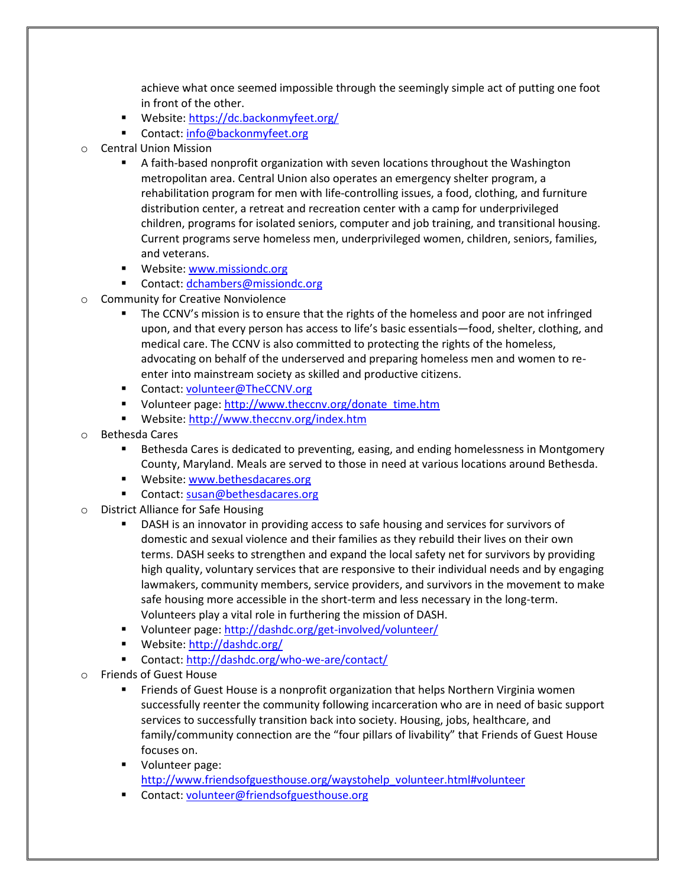achieve what once seemed impossible through the seemingly simple act of putting one foot in front of the other.

- Website[: https://dc.backonmyfeet.org/](https://dc.backonmyfeet.org/)
- Contact: [info@backonmyfeet.org](mailto:info@backonmyfeet.org)
- o Central Union Mission
	- A faith-based nonprofit organization with seven locations throughout the Washington metropolitan area. Central Union also operates an emergency shelter program, a rehabilitation program for men with life-controlling issues, a food, clothing, and furniture distribution center, a retreat and recreation center with a camp for underprivileged children, programs for isolated seniors, computer and job training, and transitional housing. Current programs serve homeless men, underprivileged women, children, seniors, families, and veterans.
	- **Website[: www.missiondc.org](http://www.missiondc.org/)**
	- Contact: [dchambers@missiondc.org](mailto:dchambers@missiondc.org)
- o Community for Creative Nonviolence
	- The CCNV's mission is to ensure that the rights of the homeless and poor are not infringed upon, and that every person has access to life's basic essentials—food, shelter, clothing, and medical care. The CCNV is also committed to protecting the rights of the homeless, advocating on behalf of the underserved and preparing homeless men and women to reenter into mainstream society as skilled and productive citizens.
	- Contact: [volunteer@TheCCNV.org](mailto:volunteer@TheCCNV.org)
	- Volunteer page: [http://www.theccnv.org/donate\\_time.htm](http://www.theccnv.org/donate_time.htm)
	- Website[: http://www.theccnv.org/index.htm](http://www.theccnv.org/index.htm)
- o Bethesda Cares
	- Bethesda Cares is dedicated to preventing, easing, and ending homelessness in Montgomery County, Maryland. Meals are served to those in need at various locations around Bethesda.
	- **Website[: www.bethesdacares.org](http://www.bethesdacares.org/)**
	- Contact: [susan@bethesdacares.org](mailto:susan@bethesdacares.org)
- o District Alliance for Safe Housing
	- DASH is an innovator in providing access to safe housing and services for survivors of domestic and sexual violence and their families as they rebuild their lives on their own terms. DASH seeks to strengthen and expand the local safety net for survivors by providing high quality, voluntary services that are responsive to their individual needs and by engaging lawmakers, community members, service providers, and survivors in the movement to make safe housing more accessible in the short-term and less necessary in the long-term. Volunteers play a vital role in furthering the mission of DASH.
	- Volunteer page:<http://dashdc.org/get-involved/volunteer/>
	- Website: http://dashdc.org/
	- Contact: http://dashdc.org/who-we-are/contact/
- o Friends of Guest House
	- Friends of Guest House is a nonprofit organization that helps Northern Virginia women successfully reenter the community following incarceration who are in need of basic support services to successfully transition back into society. Housing, jobs, healthcare, and family/community connection are the "four pillars of livability" that Friends of Guest House focuses on.
	- **Volunteer page:** [http://www.friendsofguesthouse.org/waystohelp\\_volunteer.html#volunteer](http://www.friendsofguesthouse.org/waystohelp_volunteer.html#volunteer)
	- Contact: [volunteer@friendsofguesthouse.org](mailto:volunteer@friendsofguesthouse.org)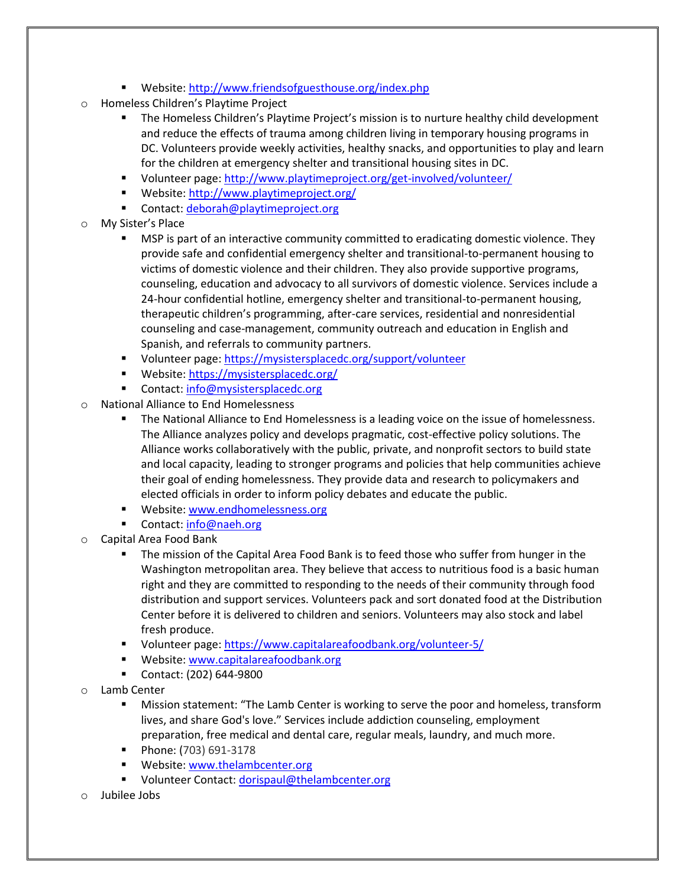- Website[: http://www.friendsofguesthouse.org/index.php](http://www.friendsofguesthouse.org/index.php)
- o Homeless Children's Playtime Project
	- **The Homeless Children's Playtime Project's mission is to nurture healthy child development** and reduce the effects of trauma among children living in temporary housing programs in DC. Volunteers provide weekly activities, healthy snacks, and opportunities to play and learn for the children at emergency shelter and transitional housing sites in DC.
	- Volunteer page: http://www.playtimeproject.org/get-involved/volunteer/
	- Website[: http://www.playtimeproject.org/](http://www.playtimeproject.org/)
	- Contact: [deborah@playtimeproject.org](mailto:deborah@playtimeproject.org)
- My Sister's Place
	- MSP is part of an interactive community committed to eradicating domestic violence. They provide safe and confidential emergency shelter and transitional-to-permanent housing to victims of domestic violence and their children. They also provide supportive programs, counseling, education and advocacy to all survivors of domestic violence. Services include a 24-hour confidential hotline, emergency shelter and transitional-to-permanent housing, therapeutic children's programming, after-care services, residential and nonresidential counseling and case-management, community outreach and education in English and Spanish, and referrals to community partners.
	- Volunteer page:<https://mysistersplacedc.org/support/volunteer>
	- Website[: https://mysistersplacedc.org/](https://mysistersplacedc.org/)
	- Contact: info@mysistersplacedc.org
- o National Alliance to End Homelessness
	- The National Alliance to End Homelessness is a leading voice on the issue of homelessness. The Alliance analyzes policy and develops pragmatic, cost-effective policy solutions. The Alliance works collaboratively with the public, private, and nonprofit sectors to build state and local capacity, leading to stronger programs and policies that help communities achieve their goal of ending homelessness. They provide data and research to policymakers and elected officials in order to inform policy debates and educate the public.
	- **Website:** [www.endhomelessness.org](http://www.endhomelessness.org/)
	- Contact: [info@naeh.org](mailto:info@naeh.org)
- o Capital Area Food Bank
	- The mission of the Capital Area Food Bank is to feed those who suffer from hunger in the Washington metropolitan area. They believe that access to nutritious food is a basic human right and they are committed to responding to the needs of their community through food distribution and support services. Volunteers pack and sort donated food at the Distribution Center before it is delivered to children and seniors. Volunteers may also stock and label fresh produce.
	- Volunteer page:<https://www.capitalareafoodbank.org/volunteer-5/>
	- **Website[: www.capitalareafoodbank.org](http://www.capitalareafoodbank.org/)**
	- Contact: (202) 644-9800
- o Lamb Center
	- Mission statement: "The Lamb Center is working to serve the poor and homeless, transform lives, and share God's love." Services include addiction counseling, employment preparation, free medical and dental care, regular meals, laundry, and much more.
	- Phone: [\(703\) 691-3178](tel:7036913178)
	- **Website[: www.thelambcenter.org](http://www.thelambcenter.org/)**
	- Volunteer Contact: [dorispaul@thelambcenter.org](mailto:dorispaul@thelambcenter.org)
- Jubilee Jobs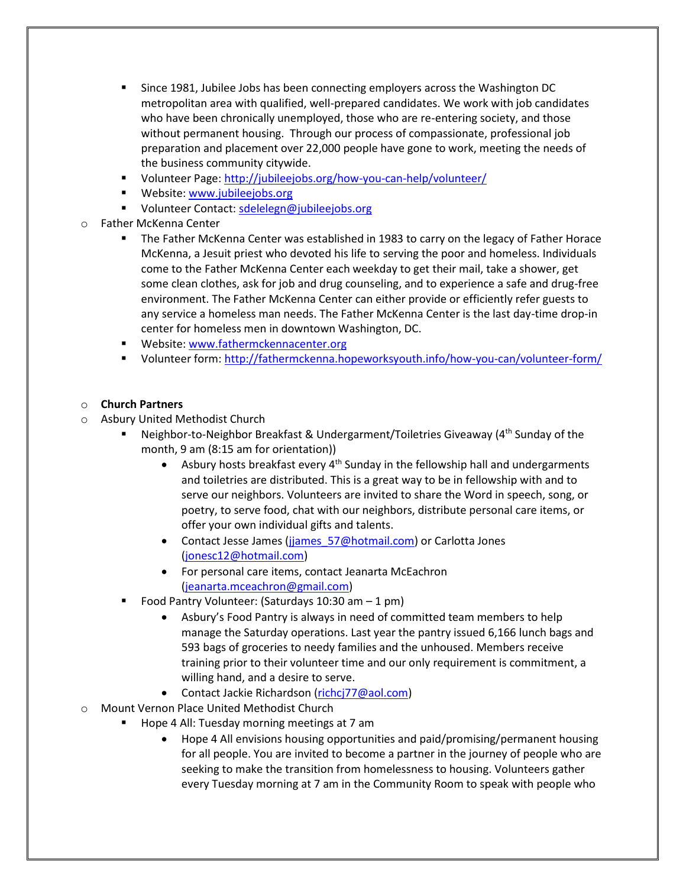- Since 1981, Jubilee Jobs has been connecting employers across the Washington DC metropolitan area with qualified, well-prepared candidates. We work with job candidates who have been chronically unemployed, those who are re-entering society, and those without permanent housing. Through our process of compassionate, professional job preparation and placement over 22,000 people have gone to work, meeting the needs of the business community citywide.
- Volunteer Page:<http://jubileejobs.org/how-you-can-help/volunteer/>
- **Website[: www.jubileejobs.org](http://www.jubileejobs.org/)**
- Volunteer Contact: [sdelelegn@jubileejobs.org](mailto:sdelelegn@jubileejobs.org)
- Father McKenna Center
	- **The Father McKenna Center was established in 1983 to carry on the legacy of Father Horace** McKenna, a Jesuit priest who devoted his life to serving the poor and homeless. Individuals come to the Father McKenna Center each weekday to get their mail, take a shower, get some clean clothes, ask for job and drug counseling, and to experience a safe and drug-free environment. The Father McKenna Center can either provide or efficiently refer guests to any service a homeless man needs. The Father McKenna Center is the last day-time drop-in center for homeless men in downtown Washington, DC.
	- **Website[: www.fathermckennacenter.org](http://www.fathermckennacenter.org/)**
	- Volunteer form:<http://fathermckenna.hopeworksyouth.info/how-you-can/volunteer-form/>

## o **Church Partners**

- o Asbury United Methodist Church
	- **Neighbor-to-Neighbor Breakfast & Undergarment/Toiletries Giveaway (4th Sunday of the** month, 9 am (8:15 am for orientation))
		- **•** Asbury hosts breakfast every  $4<sup>th</sup>$  Sunday in the fellowship hall and undergarments and toiletries are distributed. This is a great way to be in fellowship with and to serve our neighbors. Volunteers are invited to share the Word in speech, song, or poetry, to serve food, chat with our neighbors, distribute personal care items, or offer your own individual gifts and talents.
		- Contact Jesse James (jiames 57@hotmail.com) or Carlotta Jones [\(jonesc12@hotmail.com\)](mailto:jonesc12@hotmail.com)
		- For personal care items, contact Jeanarta McEachron [\(jeanarta.mceachron@gmail.com\)](mailto:jeanarta.mceachron@gmail.com)
	- Food Pantry Volunteer: (Saturdays 10:30 am 1 pm)
		- Asbury's Food Pantry is always in need of committed team members to help manage the Saturday operations. Last year the pantry issued 6,166 lunch bags and 593 bags of groceries to needy families and the unhoused. Members receive training prior to their volunteer time and our only requirement is commitment, a willing hand, and a desire to serve.
		- Contact Jackie Richardson [\(richcj77@aol.com\)](mailto:richcj77@aol.com)
- o Mount Vernon Place United Methodist Church
	- Hope 4 All: Tuesday morning meetings at 7 am
		- Hope 4 All envisions housing opportunities and paid/promising/permanent housing for all people. You are invited to become a partner in the journey of people who are seeking to make the transition from homelessness to housing. Volunteers gather every Tuesday morning at 7 am in the Community Room to speak with people who